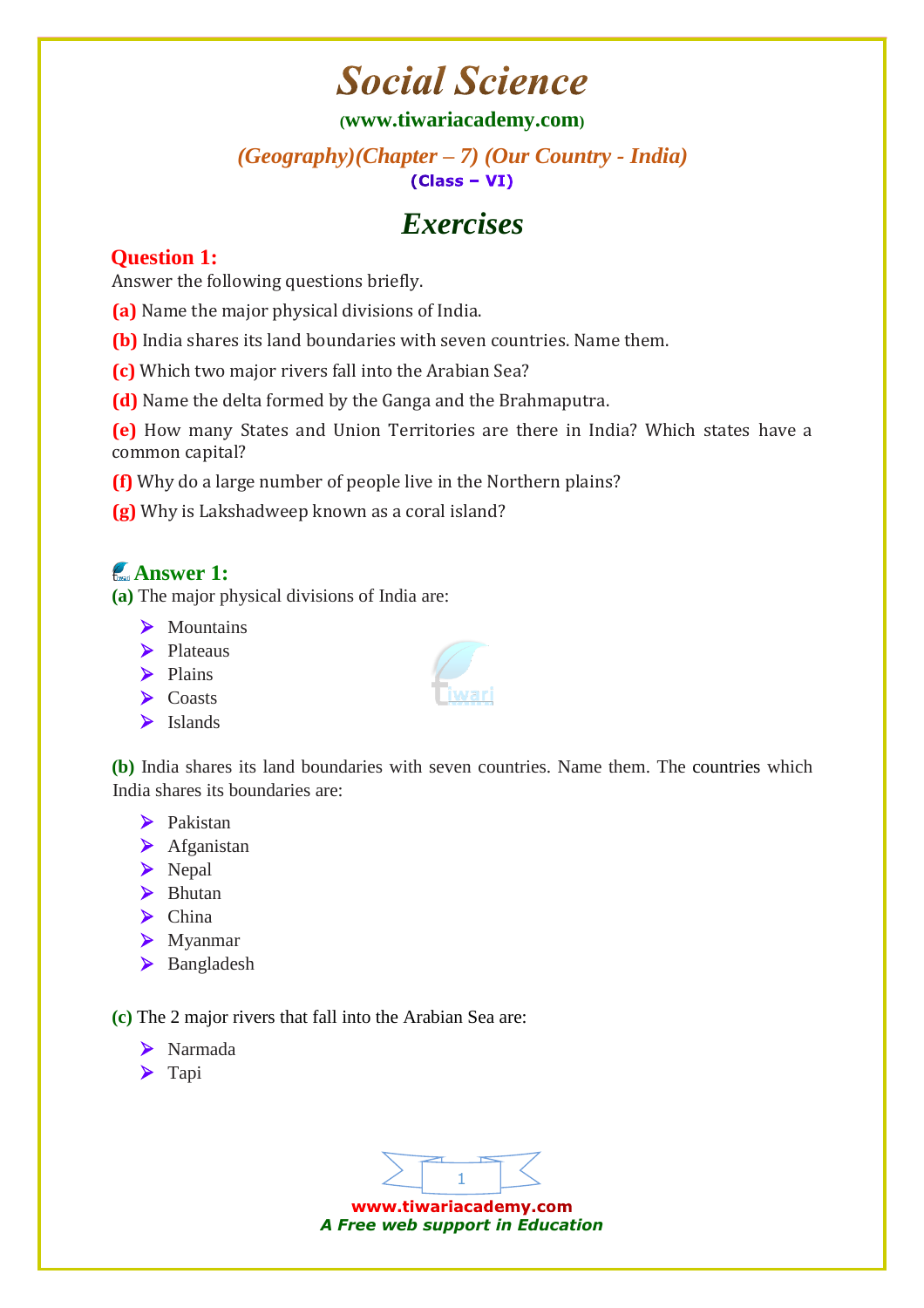# **Social Science**

#### **([www.tiwariacademy.com](http://www.tiwariacademy.com/))**

#### *(Geography)(Chapter – 7) (Our Country - India)*   $(Class - VI)$

# *Exercises*

### **Question 1:**

Answer the following questions briefly.

- **(a)** Name the major physical divisions of India.
- **(b)** India shares its land boundaries with seven countries. Name them.
- **(c)** Which two major rivers fall into the Arabian Sea?
- **(d)** Name the delta formed by the Ganga and the Brahmaputra.

**(e)** How many States and Union Territories are there in India? Which states have a common capital?

- **(f)** Why do a large number of people live in the Northern plains?
- **(g)** Why is Lakshadweep known as a coral island?

# **Answer 1:**

**(a)** The major physical divisions of India are:

- > Mountains
- $\blacktriangleright$  Plateaus
- $\triangleright$  Plains
- $\sum_{k=1}^{\infty}$
- $\blacktriangleright$  Islands

**(b)** India shares its land boundaries with seven countries. Name them. The countries which India shares its boundaries are:

- $\blacktriangleright$  Pakistan
- $\blacktriangleright$  Afganistan
- Nepal
- $\blacktriangleright$  Bhutan
- $\blacktriangleright$  China
- Myanmar
- > Bangladesh

**(c)** The 2 major rivers that fall into the Arabian Sea are:

- Narmada
- $\blacktriangleright$  Tapi



www.tiwariacademy.com *A Free web support in Education*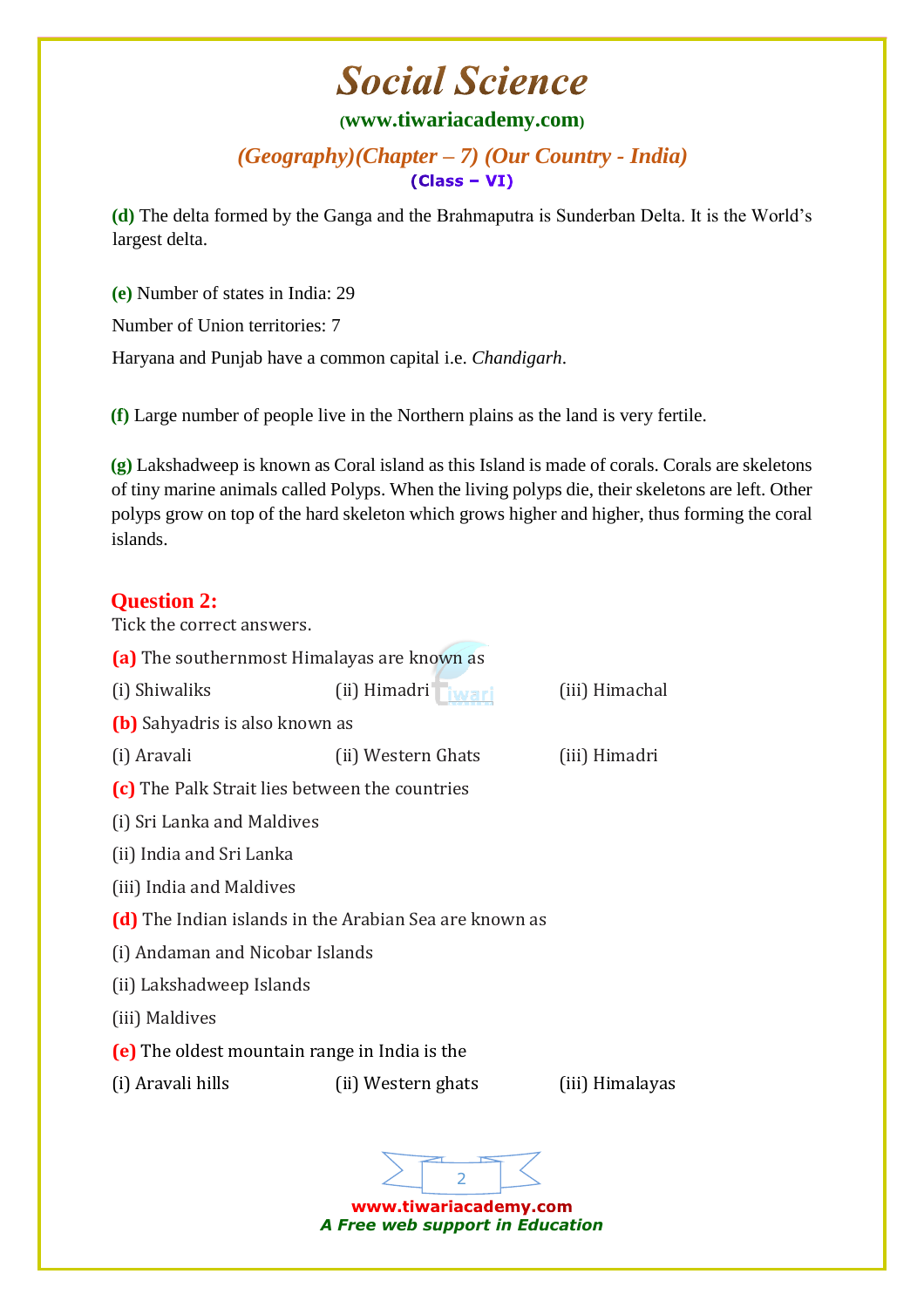# **Social Science**

#### **([www.tiwariacademy.com](http://www.tiwariacademy.com/))**

*(Geography)(Chapter – 7) (Our Country - India)*   $(Class - VI)$ 

**(d)** The delta formed by the Ganga and the Brahmaputra is Sunderban Delta. It is the World's largest delta.

**(e)** Number of states in India: 29 Number of Union territories: 7

Haryana and Punjab have a common capital i.e. *Chandigarh*.

**(f)** Large number of people live in the Northern plains as the land is very fertile.

**(g)** Lakshadweep is known as Coral island as this Island is made of corals. Corals are skeletons of tiny marine animals called Polyps. When the living polyps die, their skeletons are left. Other polyps grow on top of the hard skeleton which grows higher and higher, thus forming the coral islands.

### **Question 2:**

Tick the correct answers.



www.tiwariacademy.com *A Free web support in Education*